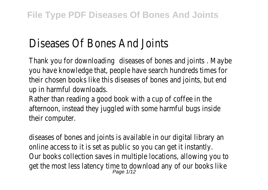# Diseases Of Bones And Joints

Thank you for downloading diseases of bones and join where the results . Thank you you have knowledge that, people have search hundreds times for their chosen books like this diseases of bones and joints, but end up in harmful downloads.

Rather than reading a good book with a cup of coffee in the afternoon, instead they juggled with some harmful bugs inside their computer.

diseases of bones and joints is available in our digital library an online access to it is set as public so you can get it instantly. Our books collection saves in multiple locations, allowing you to get the most less latency time to download any of our books like<br>Page 1/12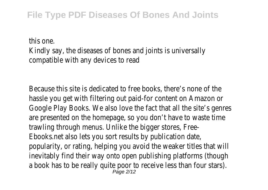this one. Kindly say, the diseases of bones and joints is universally compatible with any devices to read

Because this site is dedicated to free books, there's none of the hassle you get with filtering out paid-for content on Amazon or Google Play Books. We also love the fact that all the site's genres are presented on the homepage, so you don't have to waste time trawling through menus. Unlike the bigger stores, Free-Ebooks.net also lets you sort results by publication date, popularity, or rating, helping you avoid the weaker titles that will inevitably find their way onto open publishing platforms (though a book has to be really quite poor to receive less than four stars). Page 2/12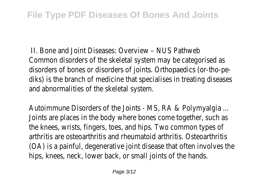II. Bone and Joint Diseases: Overview – NUS Pathweb Common disorders of the skeletal system may be categorised as disorders of bones or disorders of joints. Orthopaedics (or-tho-pediks) is the branch of medicine that specialises in treating diseases and abnormalities of the skeletal system.

Autoimmune Disorders of the Joints - MS, RA & Polymyalgia ... Joints are places in the body where bones come together, such as the knees, wrists, fingers, toes, and hips. Two common types of arthritis are osteoarthritis and rheumatoid arthritis. Osteoarthritis (OA) is a painful, degenerative joint disease that often involves the hips, knees, neck, lower back, or small joints of the hands.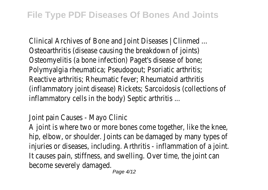Clinical Archives of Bone and Joint Diseases | Clinmed ... Osteoarthritis (disease causing the breakdown of joints) Osteomyelitis (a bone infection) Paget's disease of bone; Polymyalgia rheumatica; Pseudogout; Psoriatic arthritis; Reactive arthritis; Rheumatic fever; Rheumatoid arthritis (inflammatory joint disease) Rickets; Sarcoidosis (collections of inflammatory cells in the body) Septic arthritis ...

### Joint pain Causes - Mayo Clinic

A joint is where two or more bones come together, like the knee, hip, elbow, or shoulder. Joints can be damaged by many types of injuries or diseases, including. Arthritis - inflammation of a joint. It causes pain, stiffness, and swelling. Over time, the joint can become severely damaged.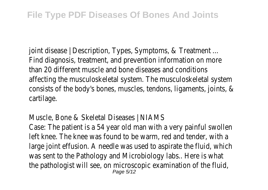joint disease | Description, Types, Symptoms, & Treatment ... Find diagnosis, treatment, and prevention information on more than 20 different muscle and bone diseases and conditions affecting the musculoskeletal system. The musculoskeletal system consists of the body's bones, muscles, tendons, ligaments, joints, & cartilage.

### Muscle, Bone & Skeletal Diseases | NIAMS

Case: The patient is a 54 year old man with a very painful swollen left knee. The knee was found to be warm, red and tender, with a large joint effusion. A needle was used to aspirate the fluid, which was sent to the Pathology and Microbiology labs.. Here is what the pathologist will see, on microscopic examination of the fluid, Page 5/12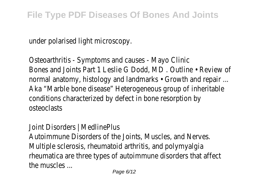under polarised light microscopy.

Osteoarthritis - Symptoms and causes - Mayo Clinic Bones and Joints Part 1 Leslie G Dodd, MD . Outline • Review of normal anatomy, histology and landmarks • Growth and repair ... Aka "Marble bone disease" Heterogeneous group of inheritable conditions characterized by defect in bone resorption by osteoclasts

Joint Disorders | MedlinePlus Autoimmune Disorders of the Joints, Muscles, and Nerves. Multiple sclerosis, rheumatoid arthritis, and polymyalgia rheumatica are three types of autoimmune disorders that affect the muscles ...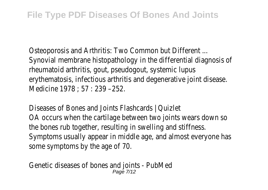Osteoporosis and Arthritis: Two Common but Different ... Synovial membrane histopathology in the differential diagnosis of rheumatoid arthritis, gout, pseudogout, systemic lupus erythematosis, infectious arthritis and degenerative joint disease. Medicine 1978 ; 57 : 239 –252.

Diseases of Bones and Joints Flashcards | Quizlet OA occurs when the cartilage between two joints wears down so the bones rub together, resulting in swelling and stiffness. Symptoms usually appear in middle age, and almost everyone has some symptoms by the age of 70.

Genetic diseases of bones and joints - PubMed Page 7/12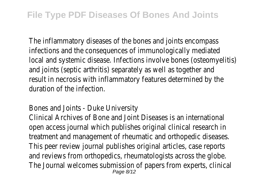The inflammatory diseases of the bones and joints encompass infections and the consequences of immunologically mediated local and systemic disease. Infections involve bones (osteomyelitis) and joints (septic arthritis) separately as well as together and result in necrosis with inflammatory features determined by the duration of the infection.

#### Bones and Joints - Duke University

Clinical Archives of Bone and Joint Diseases is an international open access journal which publishes original clinical research in treatment and management of rheumatic and orthopedic diseases. This peer review journal publishes original articles, case reports and reviews from orthopedics, rheumatologists across the globe. The Journal welcomes submission of papers from experts, clinical Page 8/12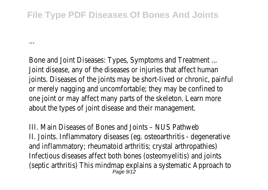## **File Type PDF Diseases Of Bones And Joints**

...

Bone and Joint Diseases: Types, Symptoms and Treatment ... Joint disease, any of the diseases or injuries that affect human joints. Diseases of the joints may be short-lived or chronic, painful or merely nagging and uncomfortable; they may be confined to one joint or may affect many parts of the skeleton. Learn more about the types of joint disease and their management.

III. Main Diseases of Bones and Joints – NUS Pathweb II. Joints. Inflammatory diseases (eg. osteoarthritis - degenerative and inflammatory; rheumatoid arthritis; crystal arthropathies) Infectious diseases affect both bones (osteomyelitis) and joints (septic arthritis) This mindmap explains a systematic Approach to Page 9/12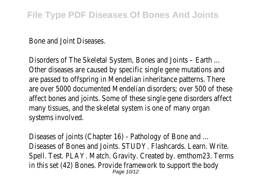Bone and Joint Diseases.

Disorders of The Skeletal System, Bones and Joints – Earth ... Other diseases are caused by specific single gene mutations and are passed to offspring in Mendelian inheritance patterns. There are over 5000 documented Mendelian disorders; over 500 of these affect bones and joints. Some of these single gene disorders affect many tissues, and the skeletal system is one of many organ systems involved.

Diseases of joints (Chapter 16) - Pathology of Bone and ... Diseases of Bones and Joints. STUDY. Flashcards. Learn. Write. Spell. Test. PLAY. Match. Gravity. Created by. emthom23. Terms in this set (42) Bones. Provide framework to support the body Page 10/12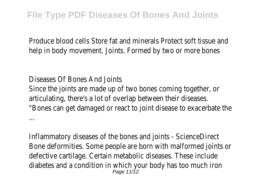Produce blood cells Store fat and minerals Protect soft tissue and help in body movement. Joints. Formed by two or more bones

Diseases Of Bones And Joints Since the joints are made up of two bones coming together, or articulating, there's a lot of overlap between their diseases. "Bones can get damaged or react to joint disease to exacerbate the ...

Inflammatory diseases of the bones and joints - ScienceDirect Bone deformities. Some people are born with malformed joints or defective cartilage. Certain metabolic diseases. These include diabetes and a condition in which your body has too much iron Page 11/12